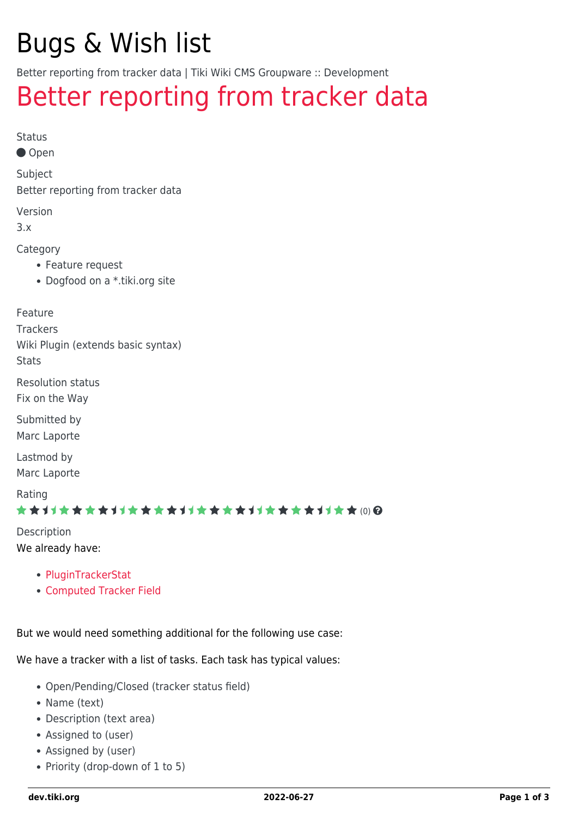# Bugs & Wish list

Better reporting from tracker data | Tiki Wiki CMS Groupware :: Development

## [Better reporting from tracker data](https://dev.tiki.org/item1980-Better-reporting-from-tracker-data)

Status

● Open

Subject

Better reporting from tracker data

Version

3.x

Category

- Feature request
- Dogfood on a \*.tiki.org site

Feature

**Trackers** Wiki Plugin (extends basic syntax) **Stats** 

Resolution status

Fix on the Way

Submitted by Marc Laporte

Lastmod by Marc Laporte

Rating

★★11★★★★11★★★★11★★★★11★★★★11★★ (0) @

Description We already have:

- [PluginTrackerStat](http://doc.tiki.org/PluginTrackerStat)
- [Computed Tracker Field](http://doc.tiki.org/Computed%20Tracker%20Field)

But we would need something additional for the following use case:

We have a tracker with a list of tasks. Each task has typical values:

- Open/Pending/Closed (tracker status field)
- Name (text)
- Description (text area)
- Assigned to (user)
- Assigned by (user)
- Priority (drop-down of 1 to 5)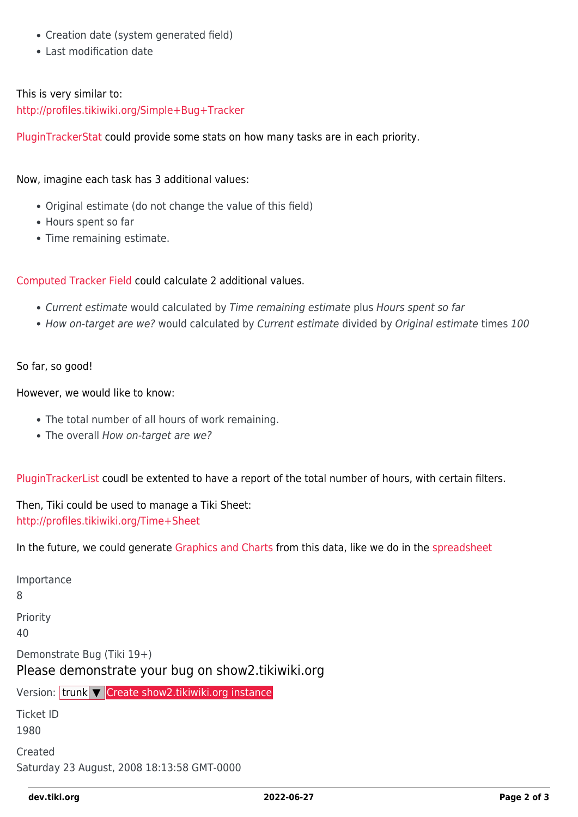- Creation date (system generated field)
- Last modification date

#### This is very similar to: <http://profiles.tikiwiki.org/Simple+Bug+Tracker>

[PluginTrackerStat](http://doc.tiki.org/PluginTrackerStat) could provide some stats on how many tasks are in each priority.

#### Now, imagine each task has 3 additional values:

- Original estimate (do not change the value of this field)
- Hours spent so far
- Time remaining estimate.

#### [Computed Tracker Field](http://doc.tiki.org/Computed%20Tracker%20Field) could calculate 2 additional values.

- Current estimate would calculated by Time remaining estimate plus Hours spent so far
- How on-target are we? would calculated by Current estimate divided by Original estimate times 100

#### So far, so good!

#### However, we would like to know:

- The total number of all hours of work remaining.
- The overall How on-target are we?

[PluginTrackerList](http://doc.tiki.org/PluginTrackerList) coudl be extented to have a report of the total number of hours, with certain filters.

Then, Tiki could be used to manage a Tiki Sheet: <http://profiles.tikiwiki.org/Time+Sheet>

In the future, we could generate [Graphics and Charts](http://doc.tiki.org/Graphics%20and%20Charts) from this data, like we do in the [spreadsheet](http://doc.tiki.org/spreadsheet)

| Importance<br>8                                                                 |
|---------------------------------------------------------------------------------|
| Priority<br>40                                                                  |
| Demonstrate Bug (Tiki 19+)<br>Please demonstrate your bug on show2.tikiwiki.org |
| Version: trunk $\nabla$ Create show2.tikiwiki.org instance                      |
| <b>Ticket ID</b><br>1980                                                        |
| Created<br>Saturday 23 August, 2008 18:13:58 GMT-0000                           |